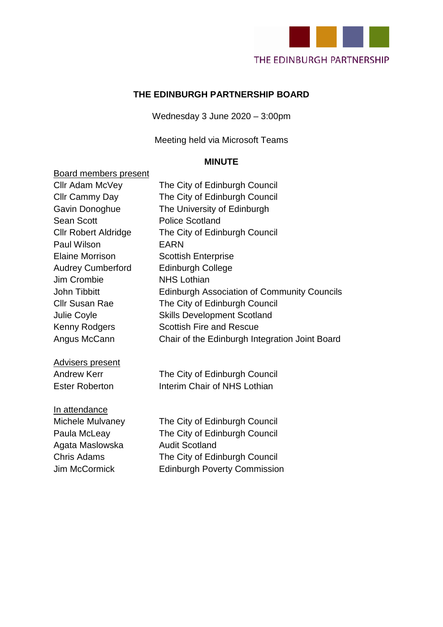

#### **THE EDINBURGH PARTNERSHIP BOARD**

Wednesday 3 June 2020 – 3:00pm

Meeting held via Microsoft Teams

#### **MINUTE**

#### Board members present

| Cllr Adam McVey             | The City of Edinburgh Council                      |
|-----------------------------|----------------------------------------------------|
| Cllr Cammy Day              | The City of Edinburgh Council                      |
| Gavin Donoghue              | The University of Edinburgh                        |
| <b>Sean Scott</b>           | <b>Police Scotland</b>                             |
| <b>CIIr Robert Aldridge</b> | The City of Edinburgh Council                      |
| Paul Wilson                 | <b>EARN</b>                                        |
| <b>Elaine Morrison</b>      | <b>Scottish Enterprise</b>                         |
| <b>Audrey Cumberford</b>    | <b>Edinburgh College</b>                           |
| Jim Crombie                 | <b>NHS Lothian</b>                                 |
| <b>John Tibbitt</b>         | <b>Edinburgh Association of Community Councils</b> |
| <b>Cllr Susan Rae</b>       | The City of Edinburgh Council                      |
| Julie Coyle                 | <b>Skills Development Scotland</b>                 |
| Kenny Rodgers               | <b>Scottish Fire and Rescue</b>                    |
| Angus McCann                | Chair of the Edinburgh Integration Joint Board     |
| <b>Advisers present</b>     |                                                    |
| <b>Andrew Kerr</b>          | The City of Edinburgh Council                      |
| <b>Ester Roberton</b>       | Interim Chair of NHS Lothian                       |
| In attendance               |                                                    |
| Michele Mulvaney            | The City of Edinburgh Council                      |
| Paula McLeay                | The City of Edinburgh Council                      |
| Agata Maslowska             | <b>Audit Scotland</b>                              |
| <b>Chris Adams</b>          | The City of Edinburgh Council                      |
| <b>Jim McCormick</b>        | <b>Edinburgh Poverty Commission</b>                |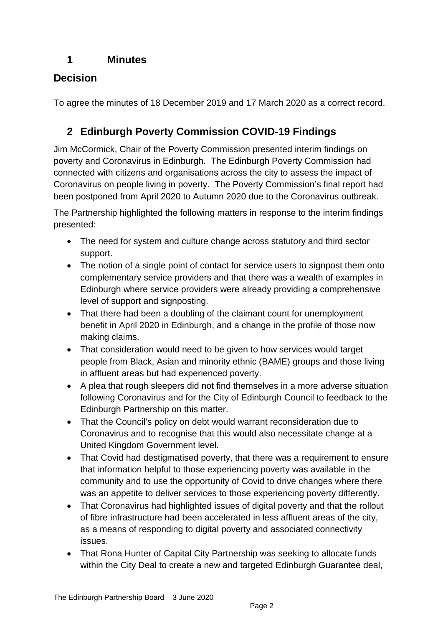## **1 Minutes**

# **Decision**

To agree the minutes of 18 December 2019 and 17 March 2020 as a correct record.

# **2 Edinburgh Poverty Commission COVID-19 Findings**

Jim McCormick, Chair of the Poverty Commission presented interim findings on poverty and Coronavirus in Edinburgh. The Edinburgh Poverty Commission had connected with citizens and organisations across the city to assess the impact of Coronavirus on people living in poverty. The Poverty Commission's final report had been postponed from April 2020 to Autumn 2020 due to the Coronavirus outbreak.

The Partnership highlighted the following matters in response to the interim findings presented:

- The need for system and culture change across statutory and third sector support.
- The notion of a single point of contact for service users to signpost them onto complementary service providers and that there was a wealth of examples in Edinburgh where service providers were already providing a comprehensive level of support and signposting.
- That there had been a doubling of the claimant count for unemployment benefit in April 2020 in Edinburgh, and a change in the profile of those now making claims.
- That consideration would need to be given to how services would target people from Black, Asian and minority ethnic (BAME) groups and those living in affluent areas but had experienced poverty.
- A plea that rough sleepers did not find themselves in a more adverse situation following Coronavirus and for the City of Edinburgh Council to feedback to the Edinburgh Partnership on this matter.
- That the Council's policy on debt would warrant reconsideration due to Coronavirus and to recognise that this would also necessitate change at a United Kingdom Government level.
- That Covid had destigmatised poverty, that there was a requirement to ensure that information helpful to those experiencing poverty was available in the community and to use the opportunity of Covid to drive changes where there was an appetite to deliver services to those experiencing poverty differently.
- That Coronavirus had highlighted issues of digital poverty and that the rollout of fibre infrastructure had been accelerated in less affluent areas of the city, as a means of responding to digital poverty and associated connectivity issues.
- That Rona Hunter of Capital City Partnership was seeking to allocate funds within the City Deal to create a new and targeted Edinburgh Guarantee deal,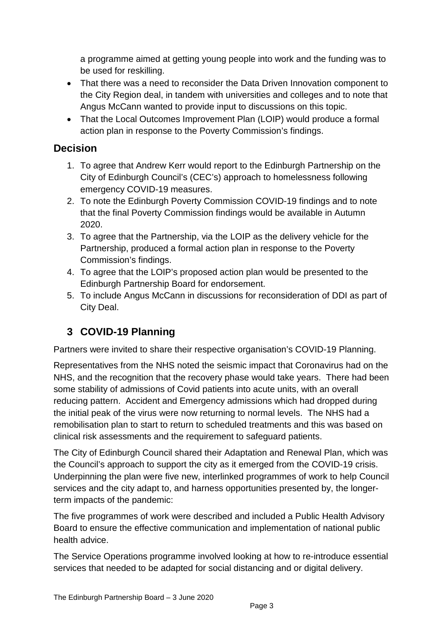a programme aimed at getting young people into work and the funding was to be used for reskilling.

- That there was a need to reconsider the Data Driven Innovation component to the City Region deal, in tandem with universities and colleges and to note that Angus McCann wanted to provide input to discussions on this topic.
- That the Local Outcomes Improvement Plan (LOIP) would produce a formal action plan in response to the Poverty Commission's findings.

### **Decision**

- 1. To agree that Andrew Kerr would report to the Edinburgh Partnership on the City of Edinburgh Council's (CEC's) approach to homelessness following emergency COVID-19 measures.
- 2. To note the Edinburgh Poverty Commission COVID-19 findings and to note that the final Poverty Commission findings would be available in Autumn 2020.
- 3. To agree that the Partnership, via the LOIP as the delivery vehicle for the Partnership, produced a formal action plan in response to the Poverty Commission's findings.
- 4. To agree that the LOIP's proposed action plan would be presented to the Edinburgh Partnership Board for endorsement.
- 5. To include Angus McCann in discussions for reconsideration of DDI as part of City Deal.

# **3 COVID-19 Planning**

Partners were invited to share their respective organisation's COVID-19 Planning.

Representatives from the NHS noted the seismic impact that Coronavirus had on the NHS, and the recognition that the recovery phase would take years. There had been some stability of admissions of Covid patients into acute units, with an overall reducing pattern. Accident and Emergency admissions which had dropped during the initial peak of the virus were now returning to normal levels. The NHS had a remobilisation plan to start to return to scheduled treatments and this was based on clinical risk assessments and the requirement to safeguard patients.

The City of Edinburgh Council shared their Adaptation and Renewal Plan, which was the Council's approach to support the city as it emerged from the COVID-19 crisis. Underpinning the plan were five new, interlinked programmes of work to help Council services and the city adapt to, and harness opportunities presented by, the longerterm impacts of the pandemic:

The five programmes of work were described and included a Public Health Advisory Board to ensure the effective communication and implementation of national public health advice.

The Service Operations programme involved looking at how to re-introduce essential services that needed to be adapted for social distancing and or digital delivery.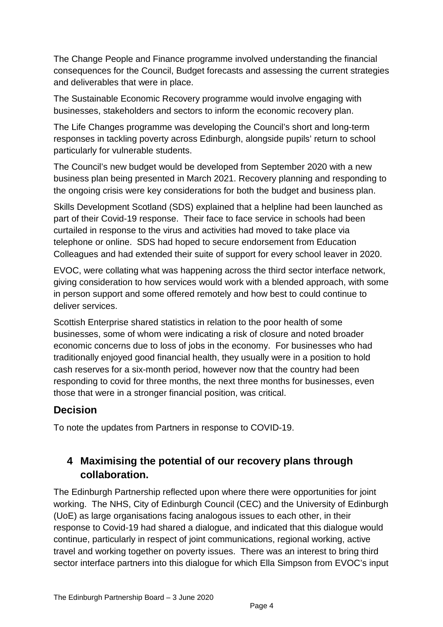The Change People and Finance programme involved understanding the financial consequences for the Council, Budget forecasts and assessing the current strategies and deliverables that were in place.

The Sustainable Economic Recovery programme would involve engaging with businesses, stakeholders and sectors to inform the economic recovery plan.

The Life Changes programme was developing the Council's short and long-term responses in tackling poverty across Edinburgh, alongside pupils' return to school particularly for vulnerable students.

The Council's new budget would be developed from September 2020 with a new business plan being presented in March 2021. Recovery planning and responding to the ongoing crisis were key considerations for both the budget and business plan.

Skills Development Scotland (SDS) explained that a helpline had been launched as part of their Covid-19 response. Their face to face service in schools had been curtailed in response to the virus and activities had moved to take place via telephone or online. SDS had hoped to secure endorsement from Education Colleagues and had extended their suite of support for every school leaver in 2020.

EVOC, were collating what was happening across the third sector interface network, giving consideration to how services would work with a blended approach, with some in person support and some offered remotely and how best to could continue to deliver services.

Scottish Enterprise shared statistics in relation to the poor health of some businesses, some of whom were indicating a risk of closure and noted broader economic concerns due to loss of jobs in the economy. For businesses who had traditionally enjoyed good financial health, they usually were in a position to hold cash reserves for a six-month period, however now that the country had been responding to covid for three months, the next three months for businesses, even those that were in a stronger financial position, was critical.

## **Decision**

To note the updates from Partners in response to COVID-19.

# **4 Maximising the potential of our recovery plans through collaboration.**

The Edinburgh Partnership reflected upon where there were opportunities for joint working. The NHS, City of Edinburgh Council (CEC) and the University of Edinburgh (UoE) as large organisations facing analogous issues to each other, in their response to Covid-19 had shared a dialogue, and indicated that this dialogue would continue, particularly in respect of joint communications, regional working, active travel and working together on poverty issues. There was an interest to bring third sector interface partners into this dialogue for which Ella Simpson from EVOC's input